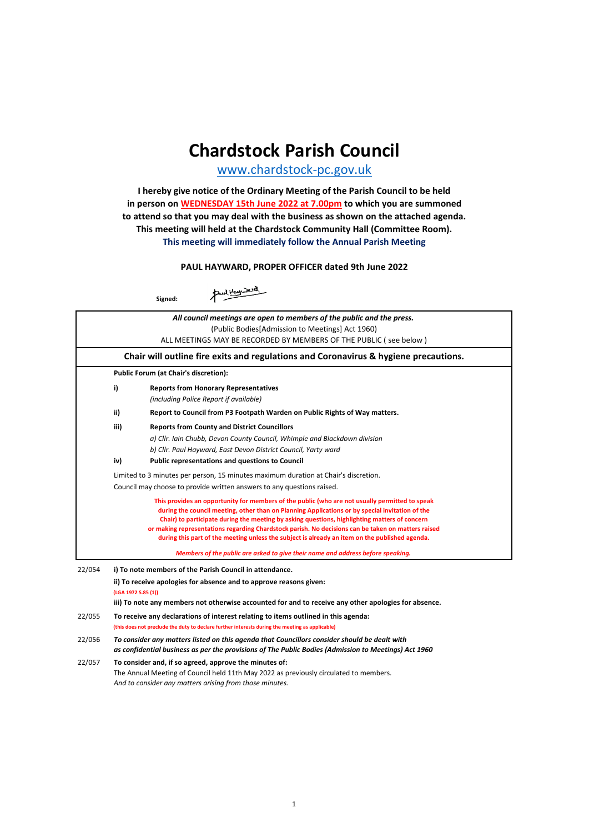# **[Cha](http://www.chardstock-pc.gov.uk/)rdstock Parish Council**

www.chardstock-pc.gov.uk

**This meeting will immediately follow the Annual Parish Meeting I hereby give notice of the Ordinary Meeting of the Parish Council to be held in person on WEDNESDAY 15th June 2022 at 7.00pm to which you are summoned to attend so that you may deal with the business as shown on the attached agenda. This meeting will held at the Chardstock Community Hall (Committee Room).**

**PAUL HAYWARD, PROPER OFFICER dated 9th June 2022**

**Signed:**

Paul Hours Dered

|        | All council meetings are open to members of the public and the press.                                                                                                                                                                                                                                                                                                                                                                                                                                      |  |  |  |  |
|--------|------------------------------------------------------------------------------------------------------------------------------------------------------------------------------------------------------------------------------------------------------------------------------------------------------------------------------------------------------------------------------------------------------------------------------------------------------------------------------------------------------------|--|--|--|--|
|        | (Public Bodies[Admission to Meetings] Act 1960)                                                                                                                                                                                                                                                                                                                                                                                                                                                            |  |  |  |  |
|        | ALL MEETINGS MAY BE RECORDED BY MEMBERS OF THE PUBLIC (see below)                                                                                                                                                                                                                                                                                                                                                                                                                                          |  |  |  |  |
|        | Chair will outline fire exits and regulations and Coronavirus & hygiene precautions.                                                                                                                                                                                                                                                                                                                                                                                                                       |  |  |  |  |
|        | Public Forum (at Chair's discretion):                                                                                                                                                                                                                                                                                                                                                                                                                                                                      |  |  |  |  |
|        | i)<br><b>Reports from Honorary Representatives</b><br>(including Police Report if available)                                                                                                                                                                                                                                                                                                                                                                                                               |  |  |  |  |
|        | ii)<br>Report to Council from P3 Footpath Warden on Public Rights of Way matters.                                                                                                                                                                                                                                                                                                                                                                                                                          |  |  |  |  |
|        | iii)<br><b>Reports from County and District Councillors</b>                                                                                                                                                                                                                                                                                                                                                                                                                                                |  |  |  |  |
|        | a) Cllr. Iain Chubb, Devon County Council, Whimple and Blackdown division                                                                                                                                                                                                                                                                                                                                                                                                                                  |  |  |  |  |
|        | b) Cllr. Paul Hayward, East Devon District Council, Yarty ward                                                                                                                                                                                                                                                                                                                                                                                                                                             |  |  |  |  |
|        | iv)<br><b>Public representations and questions to Council</b>                                                                                                                                                                                                                                                                                                                                                                                                                                              |  |  |  |  |
|        | Limited to 3 minutes per person, 15 minutes maximum duration at Chair's discretion.                                                                                                                                                                                                                                                                                                                                                                                                                        |  |  |  |  |
|        | Council may choose to provide written answers to any questions raised.                                                                                                                                                                                                                                                                                                                                                                                                                                     |  |  |  |  |
|        | This provides an opportunity for members of the public (who are not usually permitted to speak<br>during the council meeting, other than on Planning Applications or by special invitation of the<br>Chair) to participate during the meeting by asking questions, highlighting matters of concern<br>or making representations regarding Chardstock parish. No decisions can be taken on matters raised<br>during this part of the meeting unless the subject is already an item on the published agenda. |  |  |  |  |
|        | Members of the public are asked to give their name and address before speaking.                                                                                                                                                                                                                                                                                                                                                                                                                            |  |  |  |  |
| 22/054 | i) To note members of the Parish Council in attendance.                                                                                                                                                                                                                                                                                                                                                                                                                                                    |  |  |  |  |
|        | ii) To receive apologies for absence and to approve reasons given:<br>(LGA 1972 S.85 (1))<br>iii) To note any members not otherwise accounted for and to receive any other apologies for absence.                                                                                                                                                                                                                                                                                                          |  |  |  |  |
| 22/055 | To receive any declarations of interest relating to items outlined in this agenda:<br>(this does not preclude the duty to declare further interests during the meeting as applicable)                                                                                                                                                                                                                                                                                                                      |  |  |  |  |
| 22/056 | To consider any matters listed on this agenda that Councillors consider should be dealt with<br>as confidential business as per the provisions of The Public Bodies (Admission to Meetings) Act 1960                                                                                                                                                                                                                                                                                                       |  |  |  |  |
| 22/057 | To consider and, if so agreed, approve the minutes of:<br>The Annual Meeting of Council held 11th May 2022 as previously circulated to members.<br>And to consider any matters arising from those minutes.                                                                                                                                                                                                                                                                                                 |  |  |  |  |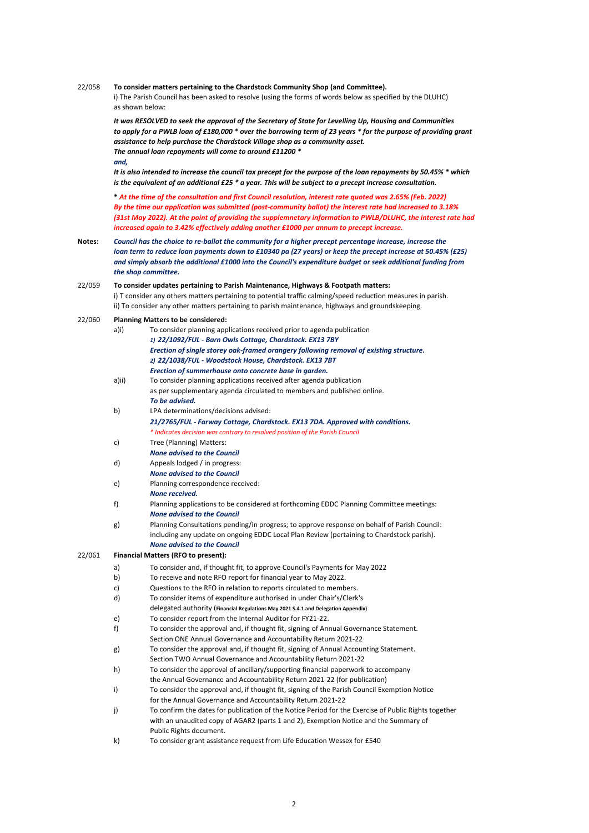# 22/058 **To consider matters pertaining to the Chardstock Community Shop (and Committee).**

i) The Parish Council has been asked to resolve (using the forms of words below as specified by the DLUHC) as shown below:

*It was RESOLVED to seek the approval of the Secretary of State for Levelling Up, Housing and Communities to apply for a PWLB loan of £180,000 \* over the borrowing term of 23 years \* for the purpose of providing grant assistance to help purchase the Chardstock Village shop as a community asset. The annual loan repayments will come to around £11200 \* and,*

*It is also intended to increase the council tax precept for the purpose of the loan repayments by 50.45% \* which is the equivalent of an additional £25 \* a year. This will be subject to a precept increase consultation.*

**\*** *At the time of the consultation and first Council resolution, interest rate quoted was 2.65% (Feb. 2022) By the time our application was submitted (post-community ballot) the interest rate had increased to 3.18% (31st May 2022). At the point of providing the supplemnetary information to PWLB/DLUHC, the interest rate had increased again to 3.42% effectively adding another £1000 per annum to precept increase.*

**Notes:** *Council has the choice to re-ballot the community for a higher precept percentage increase, increase the loan term to reduce loan payments down to £10340 pa (27 years) or keep the precept increase at 50.45% (£25) and simply absorb the additional £1000 into the Council's expenditure budget or seek additional funding from the shop committee.*

### 22/059 **To consider updates pertaining to Parish Maintenance, Highways & Footpath matters:**

i) T consider any others matters pertaining to potential traffic calming/speed reduction measures in parish. ii) To consider any other matters pertaining to parish maintenance, highways and groundskeeping.

# 22/060 **Planning Matters to be considered:**

|        | a)i)  | To consider planning applications received prior to agenda publication                               |
|--------|-------|------------------------------------------------------------------------------------------------------|
|        |       | 1) 22/1092/FUL - Barn Owls Cottage, Chardstock. EX13 7BY                                             |
|        |       | Erection of single storey oak-framed orangery following removal of existing structure.               |
|        |       | 2) 22/1038/FUL - Woodstock House, Chardstock. EX13 7BT                                               |
|        |       | Erection of summerhouse onto concrete base in garden.                                                |
|        | a)ii) | To consider planning applications received after agenda publication                                  |
|        |       | as per supplementary agenda circulated to members and published online.                              |
|        |       | To be advised.                                                                                       |
|        | b)    | LPA determinations/decisions advised:                                                                |
|        |       | 21/2765/FUL - Farway Cottage, Chardstock. EX13 7DA. Approved with conditions.                        |
|        |       | * Indicates decision was contrary to resolved position of the Parish Council                         |
|        | c)    | Tree (Planning) Matters:                                                                             |
|        |       | <b>None advised to the Council</b>                                                                   |
|        | d)    | Appeals lodged / in progress:                                                                        |
|        |       | <b>None advised to the Council</b>                                                                   |
|        | e)    | Planning correspondence received:                                                                    |
|        |       | None received.                                                                                       |
|        | f)    | Planning applications to be considered at forthcoming EDDC Planning Committee meetings:              |
|        |       | <b>None advised to the Council</b>                                                                   |
|        | g)    | Planning Consultations pending/in progress; to approve response on behalf of Parish Council:         |
|        |       | including any update on ongoing EDDC Local Plan Review (pertaining to Chardstock parish).            |
|        |       | <b>None advised to the Council</b>                                                                   |
| 22/061 |       | Financial Matters (RFO to present):                                                                  |
|        | a)    | To consider and, if thought fit, to approve Council's Payments for May 2022                          |
|        | b)    | To receive and note RFO report for financial year to May 2022.                                       |
|        | c)    | Questions to the RFO in relation to reports circulated to members.                                   |
|        | d)    | To consider items of expenditure authorised in under Chair's/Clerk's                                 |
|        |       | delegated authority (Financial Regulations May 2021 S.4.1 and Delegation Appendix)                   |
|        | e)    | To consider report from the Internal Auditor for FY21-22.                                            |
|        | f     | To consider the approval and, if thought fit, signing of Annual Governance Statement.                |
|        |       | Section ONE Annual Governance and Accountability Return 2021-22                                      |
|        | g)    | To consider the approval and, if thought fit, signing of Annual Accounting Statement.                |
|        |       | Section TWO Annual Governance and Accountability Return 2021-22                                      |
|        | h)    | To consider the approval of ancillary/supporting financial paperwork to accompany                    |
|        |       | the Annual Governance and Accountability Return 2021-22 (for publication)                            |
|        | i)    | To consider the approval and, if thought fit, signing of the Parish Council Exemption Notice         |
|        |       | for the Annual Governance and Accountability Return 2021-22                                          |
|        | j)    | To confirm the dates for publication of the Notice Period for the Exercise of Public Rights together |
|        |       | with an unaudited copy of AGAR2 (parts 1 and 2), Exemption Notice and the Summary of                 |
|        |       | Public Rights document.                                                                              |
|        |       |                                                                                                      |
|        | k)    | To consider grant assistance request from Life Education Wessex for £540                             |